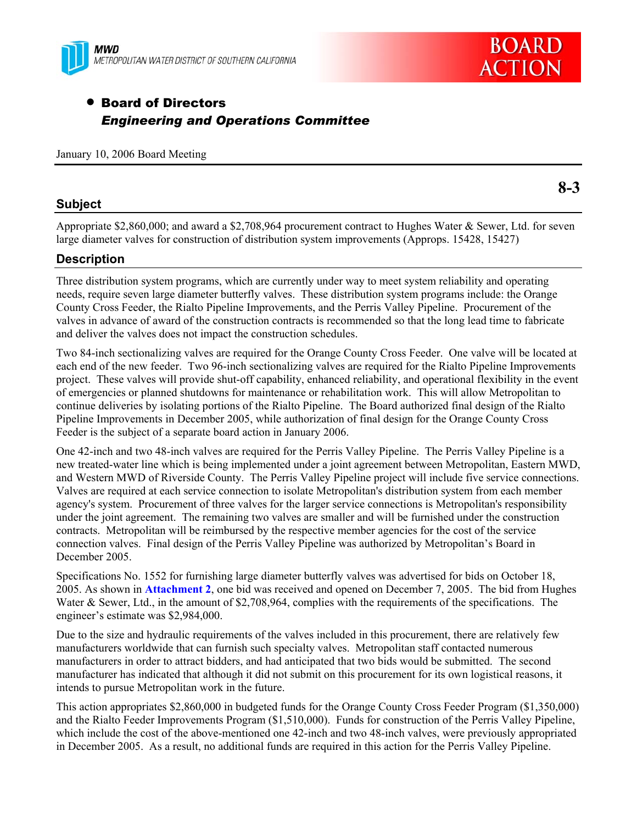



# • Board of Directors *Engineering and Operations Committee*

January 10, 2006 Board Meeting

### **Subject**

**8-3** 

Appropriate \$2,860,000; and award a \$2,708,964 procurement contract to Hughes Water & Sewer, Ltd. for seven large diameter valves for construction of distribution system improvements (Approps. 15428, 15427)

### **Description**

Three distribution system programs, which are currently under way to meet system reliability and operating needs, require seven large diameter butterfly valves. These distribution system programs include: the Orange County Cross Feeder, the Rialto Pipeline Improvements, and the Perris Valley Pipeline. Procurement of the valves in advance of award of the construction contracts is recommended so that the long lead time to fabricate and deliver the valves does not impact the construction schedules.

Two 84-inch sectionalizing valves are required for the Orange County Cross Feeder. One valve will be located at each end of the new feeder. Two 96-inch sectionalizing valves are required for the Rialto Pipeline Improvements project. These valves will provide shut-off capability, enhanced reliability, and operational flexibility in the event of emergencies or planned shutdowns for maintenance or rehabilitation work. This will allow Metropolitan to continue deliveries by isolating portions of the Rialto Pipeline. The Board authorized final design of the Rialto Pipeline Improvements in December 2005, while authorization of final design for the Orange County Cross Feeder is the subject of a separate board action in January 2006.

One 42-inch and two 48-inch valves are required for the Perris Valley Pipeline. The Perris Valley Pipeline is a new treated-water line which is being implemented under a joint agreement between Metropolitan, Eastern MWD, and Western MWD of Riverside County. The Perris Valley Pipeline project will include five service connections. Valves are required at each service connection to isolate Metropolitan's distribution system from each member agency's system. Procurement of three valves for the larger service connections is Metropolitan's responsibility under the joint agreement. The remaining two valves are smaller and will be furnished under the construction contracts. Metropolitan will be reimbursed by the respective member agencies for the cost of the service connection valves. Final design of the Perris Valley Pipeline was authorized by Metropolitan's Board in December 2005.

Specifications No. 1552 for furnishing large diameter butterfly valves was advertised for bids on October 18, 2005. As shown in **Attachment 2**, one bid was received and opened on December 7, 2005. The bid from Hughes Water & Sewer, Ltd., in the amount of \$2,708,964, complies with the requirements of the specifications. The engineer's estimate was \$2,984,000.

Due to the size and hydraulic requirements of the valves included in this procurement, there are relatively few manufacturers worldwide that can furnish such specialty valves. Metropolitan staff contacted numerous manufacturers in order to attract bidders, and had anticipated that two bids would be submitted. The second manufacturer has indicated that although it did not submit on this procurement for its own logistical reasons, it intends to pursue Metropolitan work in the future.

This action appropriates \$2,860,000 in budgeted funds for the Orange County Cross Feeder Program (\$1,350,000) and the Rialto Feeder Improvements Program (\$1,510,000). Funds for construction of the Perris Valley Pipeline, which include the cost of the above-mentioned one 42-inch and two 48-inch valves, were previously appropriated in December 2005. As a result, no additional funds are required in this action for the Perris Valley Pipeline.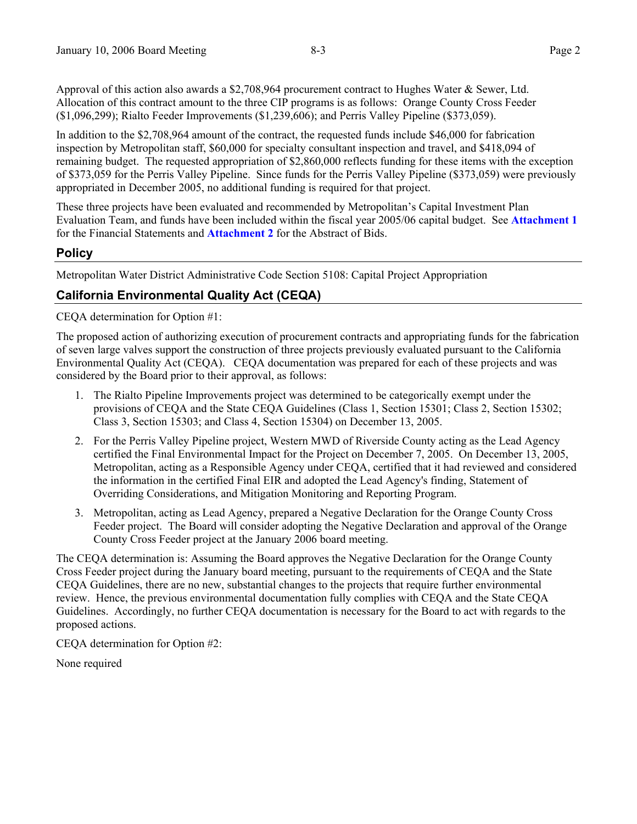Approval of this action also awards a \$2,708,964 procurement contract to Hughes Water & Sewer, Ltd. Allocation of this contract amount to the three CIP programs is as follows: Orange County Cross Feeder (\$1,096,299); Rialto Feeder Improvements (\$1,239,606); and Perris Valley Pipeline (\$373,059).

In addition to the \$2,708,964 amount of the contract, the requested funds include \$46,000 for fabrication inspection by Metropolitan staff, \$60,000 for specialty consultant inspection and travel, and \$418,094 of remaining budget. The requested appropriation of \$2,860,000 reflects funding for these items with the exception of \$373,059 for the Perris Valley Pipeline. Since funds for the Perris Valley Pipeline (\$373,059) were previously appropriated in December 2005, no additional funding is required for that project.

These three projects have been evaluated and recommended by Metropolitan's Capital Investment Plan Evaluation Team, and funds have been included within the fiscal year 2005/06 capital budget. See **Attachment 1** for the Financial Statements and **Attachment 2** for the Abstract of Bids.

### **Policy**

Metropolitan Water District Administrative Code Section 5108: Capital Project Appropriation

## **California Environmental Quality Act (CEQA)**

CEQA determination for Option #1:

The proposed action of authorizing execution of procurement contracts and appropriating funds for the fabrication of seven large valves support the construction of three projects previously evaluated pursuant to the California Environmental Quality Act (CEQA). CEQA documentation was prepared for each of these projects and was considered by the Board prior to their approval, as follows:

- 1. The Rialto Pipeline Improvements project was determined to be categorically exempt under the provisions of CEQA and the State CEQA Guidelines (Class 1, Section 15301; Class 2, Section 15302; Class 3, Section 15303; and Class 4, Section 15304) on December 13, 2005.
- 2. For the Perris Valley Pipeline project, Western MWD of Riverside County acting as the Lead Agency certified the Final Environmental Impact for the Project on December 7, 2005. On December 13, 2005, Metropolitan, acting as a Responsible Agency under CEQA, certified that it had reviewed and considered the information in the certified Final EIR and adopted the Lead Agency's finding, Statement of Overriding Considerations, and Mitigation Monitoring and Reporting Program.
- 3. Metropolitan, acting as Lead Agency, prepared a Negative Declaration for the Orange County Cross Feeder project. The Board will consider adopting the Negative Declaration and approval of the Orange County Cross Feeder project at the January 2006 board meeting.

The CEQA determination is: Assuming the Board approves the Negative Declaration for the Orange County Cross Feeder project during the January board meeting, pursuant to the requirements of CEQA and the State CEQA Guidelines, there are no new, substantial changes to the projects that require further environmental review. Hence, the previous environmental documentation fully complies with CEQA and the State CEQA Guidelines. Accordingly, no further CEQA documentation is necessary for the Board to act with regards to the proposed actions.

CEQA determination for Option #2:

None required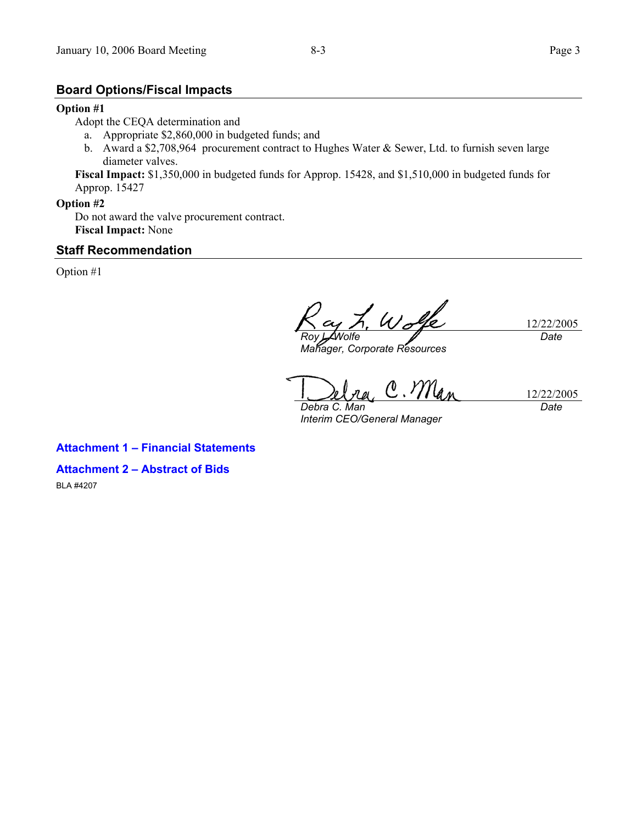### **Board Options/Fiscal Impacts**

#### **Option #1**

Adopt the CEQA determination and

- a. Appropriate \$2,860,000 in budgeted funds; and
- b. Award a \$2,708,964 procurement contract to Hughes Water & Sewer, Ltd. to furnish seven large diameter valves.

**Fiscal Impact:** \$1,350,000 in budgeted funds for Approp. 15428, and \$1,510,000 in budgeted funds for Approp. 15427

#### **Option #2**

Do not award the valve procurement contract. **Fiscal Impact:** None

### **Staff Recommendation**

Option #1

L. Wolfe 12/22/2005 *Date Roy L. Wolfe* 

*Manager, Corporate Resources* 

12/22/2005 *Debra C. Man* 

*Interim CEO/General Manager* 

*Date* 

### **Attachment 1 – Financial Statements**

**Attachment 2 – Abstract of Bids** 

BLA #4207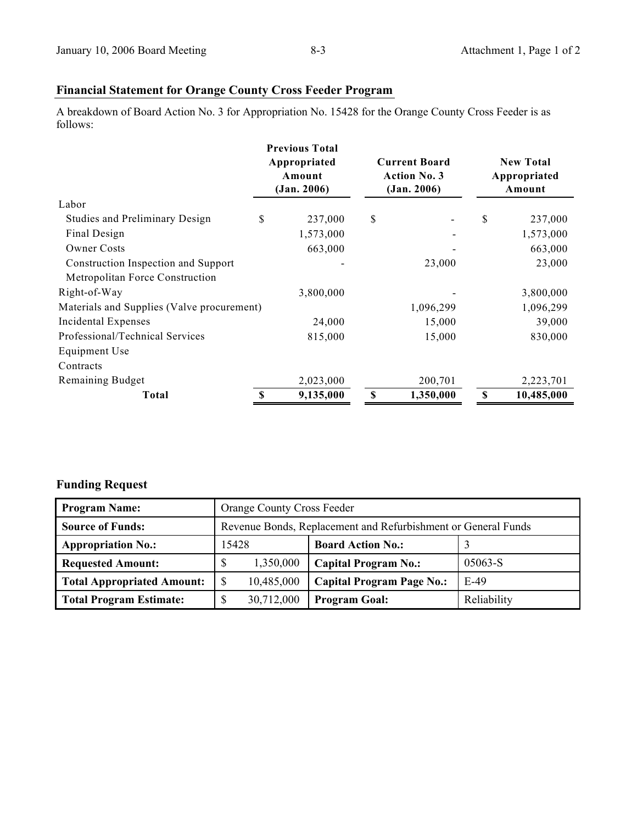# **Financial Statement for Orange County Cross Feeder Program**

A breakdown of Board Action No. 3 for Appropriation No. 15428 for the Orange County Cross Feeder is as follows:

|                                            | <b>Previous Total</b><br>Appropriated<br>Amount<br>(Jan. 2006) |    | <b>Current Board</b><br><b>Action No. 3</b><br>(Jan. 2006) |    | <b>New Total</b><br>Appropriated<br>Amount |  |
|--------------------------------------------|----------------------------------------------------------------|----|------------------------------------------------------------|----|--------------------------------------------|--|
| Labor                                      |                                                                |    |                                                            |    |                                            |  |
| <b>Studies and Preliminary Design</b>      | \$<br>237,000                                                  | \$ |                                                            | \$ | 237,000                                    |  |
| Final Design                               | 1,573,000                                                      |    |                                                            |    | 1,573,000                                  |  |
| <b>Owner Costs</b>                         | 663,000                                                        |    |                                                            |    | 663,000                                    |  |
| Construction Inspection and Support        |                                                                |    | 23,000                                                     |    | 23,000                                     |  |
| Metropolitan Force Construction            |                                                                |    |                                                            |    |                                            |  |
| Right-of-Way                               | 3,800,000                                                      |    |                                                            |    | 3,800,000                                  |  |
| Materials and Supplies (Valve procurement) |                                                                |    | 1,096,299                                                  |    | 1,096,299                                  |  |
| Incidental Expenses                        | 24,000                                                         |    | 15,000                                                     |    | 39,000                                     |  |
| Professional/Technical Services            | 815,000                                                        |    | 15,000                                                     |    | 830,000                                    |  |
| Equipment Use                              |                                                                |    |                                                            |    |                                            |  |
| Contracts                                  |                                                                |    |                                                            |    |                                            |  |
| Remaining Budget                           | 2,023,000                                                      |    | 200,701                                                    |    | 2,223,701                                  |  |
| <b>Total</b>                               | \$<br>9,135,000                                                | \$ | 1,350,000                                                  | \$ | 10,485,000                                 |  |

# **Funding Request**

| <b>Program Name:</b>              | <b>Orange County Cross Feeder</b>                             |                                  |             |  |  |
|-----------------------------------|---------------------------------------------------------------|----------------------------------|-------------|--|--|
| <b>Source of Funds:</b>           | Revenue Bonds, Replacement and Refurbishment or General Funds |                                  |             |  |  |
| <b>Appropriation No.:</b>         | 15428                                                         |                                  |             |  |  |
| <b>Requested Amount:</b>          | 1,350,000                                                     | <b>Capital Program No.:</b>      | 05063-S     |  |  |
| <b>Total Appropriated Amount:</b> | 10,485,000                                                    | <b>Capital Program Page No.:</b> | $E-49$      |  |  |
| <b>Total Program Estimate:</b>    | 30,712,000                                                    | <b>Program Goal:</b>             | Reliability |  |  |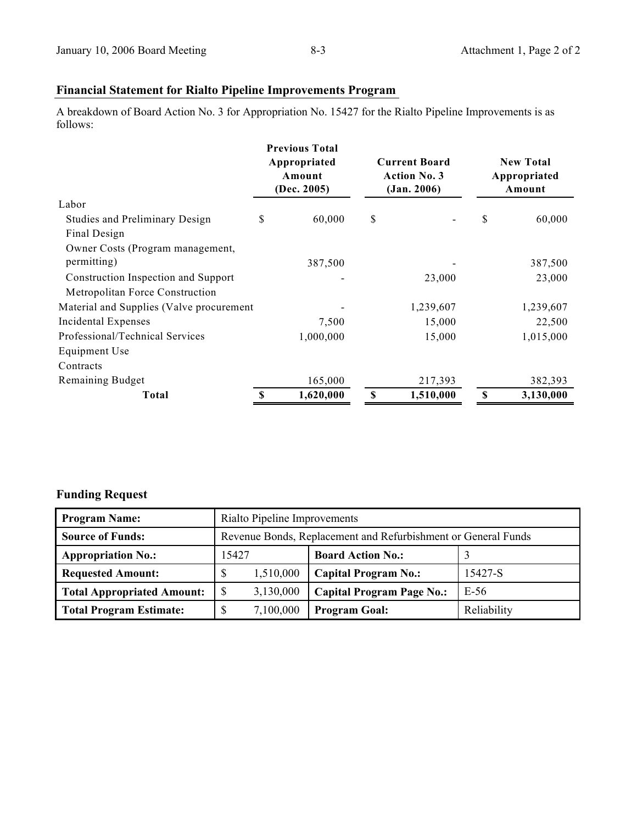# **Financial Statement for Rialto Pipeline Improvements Program**

A breakdown of Board Action No. 3 for Appropriation No. 15427 for the Rialto Pipeline Improvements is as follows:

|                                          |    | <b>Previous Total</b><br>Appropriated<br>Amount<br>(Dec. 2005) | <b>Current Board</b><br><b>Action No. 3</b><br>(Jan. 2006) |           | <b>New Total</b><br>Appropriated<br>Amount |           |
|------------------------------------------|----|----------------------------------------------------------------|------------------------------------------------------------|-----------|--------------------------------------------|-----------|
| Labor                                    |    |                                                                |                                                            |           |                                            |           |
| <b>Studies and Preliminary Design</b>    | \$ | 60,000                                                         | \$                                                         |           | \$                                         | 60,000    |
| Final Design                             |    |                                                                |                                                            |           |                                            |           |
| Owner Costs (Program management,         |    |                                                                |                                                            |           |                                            |           |
| permitting)                              |    | 387,500                                                        |                                                            |           |                                            | 387,500   |
| Construction Inspection and Support      |    |                                                                |                                                            | 23,000    |                                            | 23,000    |
| Metropolitan Force Construction          |    |                                                                |                                                            |           |                                            |           |
| Material and Supplies (Valve procurement |    |                                                                |                                                            | 1,239,607 |                                            | 1,239,607 |
| Incidental Expenses                      |    | 7,500                                                          |                                                            | 15,000    |                                            | 22,500    |
| Professional/Technical Services          |    | 1,000,000                                                      |                                                            | 15,000    |                                            | 1,015,000 |
| Equipment Use                            |    |                                                                |                                                            |           |                                            |           |
| Contracts                                |    |                                                                |                                                            |           |                                            |           |
| Remaining Budget                         |    | 165,000                                                        |                                                            | 217,393   |                                            | 382,393   |
| Total                                    | S  | 1,620,000                                                      | \$                                                         | 1,510,000 | \$                                         | 3,130,000 |

# **Funding Request**

| <b>Program Name:</b>              | Rialto Pipeline Improvements                                  |                                  |             |  |  |
|-----------------------------------|---------------------------------------------------------------|----------------------------------|-------------|--|--|
| <b>Source of Funds:</b>           | Revenue Bonds, Replacement and Refurbishment or General Funds |                                  |             |  |  |
| <b>Appropriation No.:</b>         | 15427                                                         |                                  |             |  |  |
| <b>Requested Amount:</b>          | S<br>1,510,000                                                | <b>Capital Program No.:</b>      | 15427-S     |  |  |
| <b>Total Appropriated Amount:</b> | S<br>3,130,000                                                | <b>Capital Program Page No.:</b> | E-56        |  |  |
| <b>Total Program Estimate:</b>    | 7,100,000                                                     | <b>Program Goal:</b>             | Reliability |  |  |